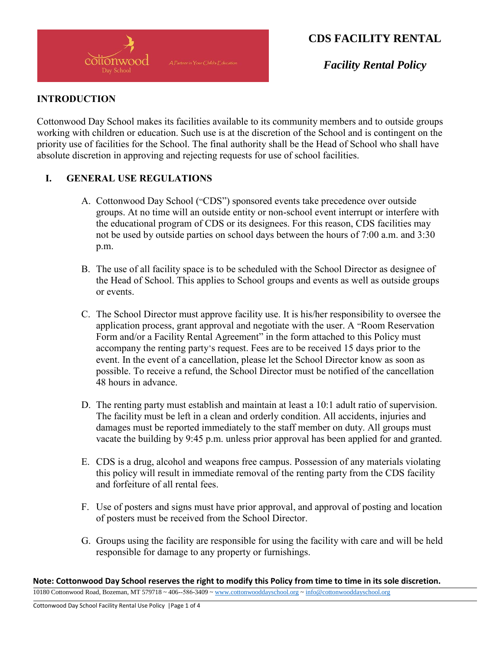

*Facility Rental Policy*

#### **INTRODUCTION**

Cottonwood Day School makes its facilities available to its community members and to outside groups working with children or education. Such use is at the discretion of the School and is contingent on the priority use of facilities for the School. The final authority shall be the Head of School who shall have absolute discretion in approving and rejecting requests for use of school facilities.

#### **I. GENERAL USE REGULATIONS**

- A. Cottonwood Day School ("CDS") sponsored events take precedence over outside groups. At no time will an outside entity or non-school event interrupt or interfere with the educational program of CDS or its designees. For this reason, CDS facilities may not be used by outside parties on school days between the hours of 7:00 a.m. and 3:30 p.m.
- B. The use of all facility space is to be scheduled with the School Director as designee of the Head of School. This applies to School groups and events as well as outside groups or events.
- C. The School Director must approve facility use. It is his/her responsibility to oversee the application process, grant approval and negotiate with the user. A "Room Reservation Form and/or a Facility Rental Agreement" in the form attached to this Policy must accompany the renting party's request. Fees are to be received 15 days prior to the event. In the event of a cancellation, please let the School Director know as soon as possible. To receive a refund, the School Director must be notified of the cancellation 48 hours in advance.
- D. The renting party must establish and maintain at least a 10:1 adult ratio of supervision. The facility must be left in a clean and orderly condition. All accidents, injuries and damages must be reported immediately to the staff member on duty. All groups must vacate the building by 9:45 p.m. unless prior approval has been applied for and granted.
- E. CDS is a drug, alcohol and weapons free campus. Possession of any materials violating this policy will result in immediate removal of the renting party from the CDS facility and forfeiture of all rental fees.
- F. Use of posters and signs must have prior approval, and approval of posting and location of posters must be received from the School Director.
- G. Groups using the facility are responsible for using the facility with care and will be held responsible for damage to any property or furnishings.

**Note: Cottonwood Day School reserves the right to modify this Policy from time to time in its sole discretion.** 10180 Cottonwood Road, Bozeman, MT 579718 ~ 406-‐586-3409 [~ www.cottonwooddayschool.org](http://www.cottonwooddayschool.org/) [~ info@cottonwooddayschool.org](mailto:info@cottonwooddayschool.org)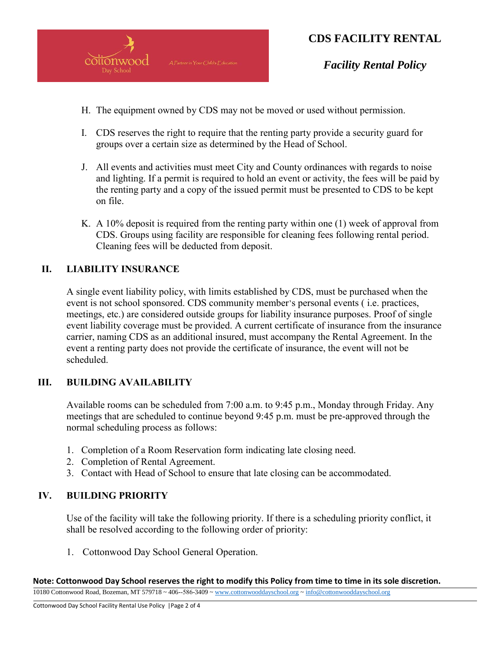

*Facility Rental Policy*

- H. The equipment owned by CDS may not be moved or used without permission.
- I. CDS reserves the right to require that the renting party provide a security guard for groups over a certain size as determined by the Head of School.
- J. All events and activities must meet City and County ordinances with regards to noise and lighting. If a permit is required to hold an event or activity, the fees will be paid by the renting party and a copy of the issued permit must be presented to CDS to be kept on file.
- K. A 10% deposit is required from the renting party within one (1) week of approval from CDS. Groups using facility are responsible for cleaning fees following rental period. Cleaning fees will be deducted from deposit.

### **II. LIABILITY INSURANCE**

A single event liability policy, with limits established by CDS, must be purchased when the event is not school sponsored. CDS community member's personal events ( i.e. practices, meetings, etc.) are considered outside groups for liability insurance purposes. Proof of single event liability coverage must be provided. A current certificate of insurance from the insurance carrier, naming CDS as an additional insured, must accompany the Rental Agreement. In the event a renting party does not provide the certificate of insurance, the event will not be scheduled.

#### **III. BUILDING AVAILABILITY**

Available rooms can be scheduled from 7:00 a.m. to 9:45 p.m., Monday through Friday. Any meetings that are scheduled to continue beyond 9:45 p.m. must be pre-approved through the normal scheduling process as follows:

- 1. Completion of a Room Reservation form indicating late closing need.
- 2. Completion of Rental Agreement.
- 3. Contact with Head of School to ensure that late closing can be accommodated.

#### **IV. BUILDING PRIORITY**

Use of the facility will take the following priority. If there is a scheduling priority conflict, it shall be resolved according to the following order of priority:

1. Cottonwood Day School General Operation.

**Note: Cottonwood Day School reserves the right to modify this Policy from time to time in its sole discretion.** 10180 Cottonwood Road, Bozeman, MT 579718 ~ 406-‐586-3409 [~ www.cottonwooddayschool.org](http://www.cottonwooddayschool.org/) [~ info@cottonwooddayschool.org](mailto:info@cottonwooddayschool.org)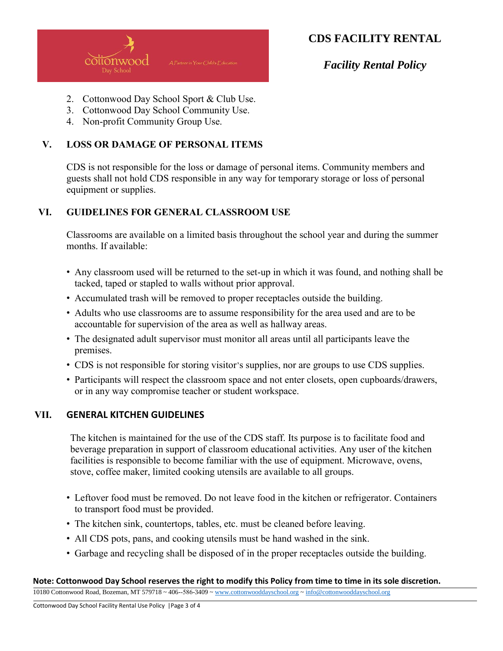

*Facility Rental Policy*

- 2. Cottonwood Day School Sport & Club Use.
- 3. Cottonwood Day School Community Use.
- 4. Non-profit Community Group Use.

#### **V. LOSS OR DAMAGE OF PERSONAL ITEMS**

CDS is not responsible for the loss or damage of personal items. Community members and guests shall not hold CDS responsible in any way for temporary storage or loss of personal equipment or supplies.

#### **VI. GUIDELINES FOR GENERAL CLASSROOM USE**

Classrooms are available on a limited basis throughout the school year and during the summer months. If available:

- Any classroom used will be returned to the set-up in which it was found, and nothing shall be tacked, taped or stapled to walls without prior approval.
- Accumulated trash will be removed to proper receptacles outside the building.
- Adults who use classrooms are to assume responsibility for the area used and are to be accountable for supervision of the area as well as hallway areas.
- The designated adult supervisor must monitor all areas until all participants leave the premises.
- CDS is not responsible for storing visitor's supplies, nor are groups to use CDS supplies.
- Participants will respect the classroom space and not enter closets, open cupboards/drawers, or in any way compromise teacher or student workspace.

#### **VII. GENERAL KITCHEN GUIDELINES**

The kitchen is maintained for the use of the CDS staff. Its purpose is to facilitate food and beverage preparation in support of classroom educational activities. Any user of the kitchen facilities is responsible to become familiar with the use of equipment. Microwave, ovens, stove, coffee maker, limited cooking utensils are available to all groups.

- Leftover food must be removed. Do not leave food in the kitchen or refrigerator. Containers to transport food must be provided.
- The kitchen sink, countertops, tables, etc. must be cleaned before leaving.
- All CDS pots, pans, and cooking utensils must be hand washed in the sink.
- Garbage and recycling shall be disposed of in the proper receptacles outside the building.

#### **Note: Cottonwood Day School reserves the right to modify this Policy from time to time in its sole discretion.**

10180 Cottonwood Road, Bozeman, MT 579718 ~ 406-‐586-3409 [~ www.cottonwooddayschool.org](http://www.cottonwooddayschool.org/) [~ info@cottonwooddayschool.org](mailto:info@cottonwooddayschool.org)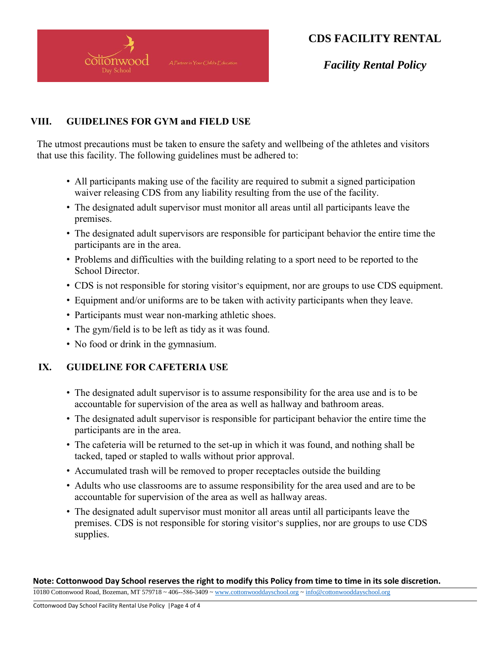

*Facility Rental Policy*

### **VIII. GUIDELINES FOR GYM and FIELD USE**

The utmost precautions must be taken to ensure the safety and wellbeing of the athletes and visitors that use this facility. The following guidelines must be adhered to:

- All participants making use of the facility are required to submit a signed participation waiver releasing CDS from any liability resulting from the use of the facility.
- The designated adult supervisor must monitor all areas until all participants leave the premises.
- The designated adult supervisors are responsible for participant behavior the entire time the participants are in the area.
- Problems and difficulties with the building relating to a sport need to be reported to the School Director.
- CDS is not responsible for storing visitor's equipment, nor are groups to use CDS equipment.
- Equipment and/or uniforms are to be taken with activity participants when they leave.
- Participants must wear non-marking athletic shoes.
- The gym/field is to be left as tidy as it was found.
- No food or drink in the gymnasium.

### **IX. GUIDELINE FOR CAFETERIA USE**

- The designated adult supervisor is to assume responsibility for the area use and is to be accountable for supervision of the area as well as hallway and bathroom areas.
- The designated adult supervisor is responsible for participant behavior the entire time the participants are in the area.
- The cafeteria will be returned to the set-up in which it was found, and nothing shall be tacked, taped or stapled to walls without prior approval.
- Accumulated trash will be removed to proper receptacles outside the building
- Adults who use classrooms are to assume responsibility for the area used and are to be accountable for supervision of the area as well as hallway areas.
- The designated adult supervisor must monitor all areas until all participants leave the premises. CDS is not responsible for storing visitor's supplies, nor are groups to use CDS supplies.